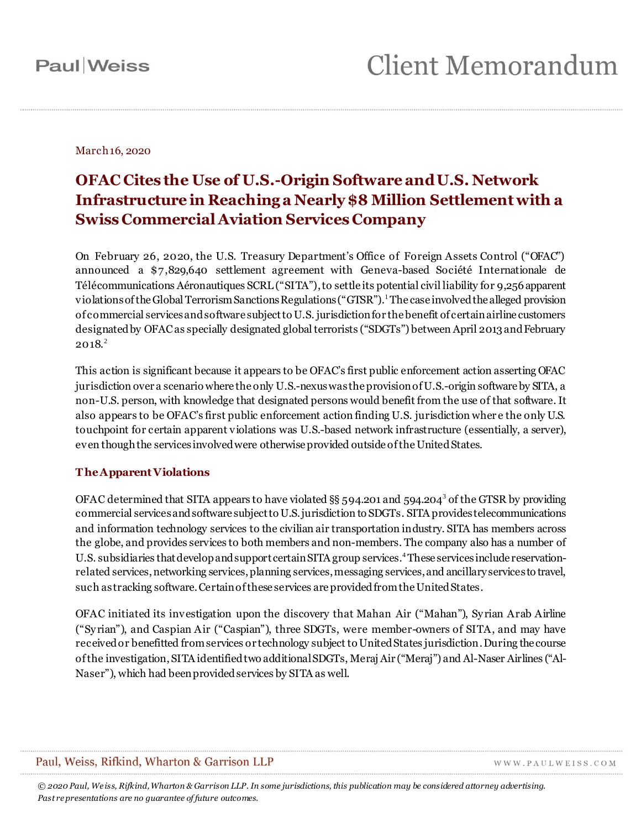March 16, 2020

#### **OFAC Cites the Use of U.S.-Origin Software and U.S. Network Infrastructure in Reaching a Nearly \$8 Million Settlement with a Swiss Commercial Aviation Services Company**

On February 26, 2020, the U.S. Treasury Department's Office of Foreign Assets Control ("OFAC") announced a \$7,829,640 settlement agreement with Geneva-based Société Internationale de Télécommunications Aéronautiques SCRL ("SITA"), to settle its potential civil liability for 9,256 apparent violations of the Global Terrorism Sanctions Regulations ("GTSR").<sup>1</sup>The case involved the alleged provision of commercial services and software subject to U.S. jurisdiction for the benefit of certain airline customers designated by OFAC as specially designated global terrorists ("SDGTs") between April 2013 and February  $2018.<sup>2</sup>$ 

This action is significant because it appears to be OFAC's first public enforcement action asserting OFAC jurisdiction over a scenario where the only U.S.-nexus was the provision of U.S.-origin software by SITA, a non-U.S. person, with knowledge that designated persons would benefit from the use of that software. It also appears to be OFAC's first public enforcement action finding U.S. jurisdiction wher e the only U.S. touchpoint for certain apparent violations was U.S.-based network infrastructure (essentially, a server), even though the services involved were otherwise provided outside of the United States.

#### **T he Apparent Violations**

OFAC determined that SITA appears to have violated §§ 594.201 and 594.204<sup>3</sup> of the GTSR by providing commercial services and software subject to U.S. jurisdiction to SDGTs. SITA provides telecommunications and information technology services to the civilian air transportation industry. SITA has members across the globe, and provides services to both members and non-members. The company also has a number of U.S. subsidiaries that develop and support certain SITA group services.4These services include reservationrelated services,networking services, planning services, messaging services, and ancillary services to travel, such as tracking software. Certain of these services are provided from the United States.

OFAC initiated its investigation upon the discovery that Mahan Air ("Mahan"), Sy rian Arab Airline ("Sy rian"), and Caspian Air ("Caspian"), three SDGTs, were member-owners of SITA, and may have received or benefitted from services or technology subject to United States jurisdiction. During the course of the investigation, SITA identified two additional SDGTs, Meraj Air ("Meraj") and Al-Naser Airlines ("Al-Naser"), which had been provided services by SITA as well.

#### Paul, Weiss, Rifkind, Wharton & Garrison LLP

WWW.PAULWEISS.COM

*© 2020 Paul, We iss, Rifkind, Wharton & Garrison LLP. In some jurisdictions, this publication may be considered attorney advertising. Past re presentations are no guarantee of future outcomes.*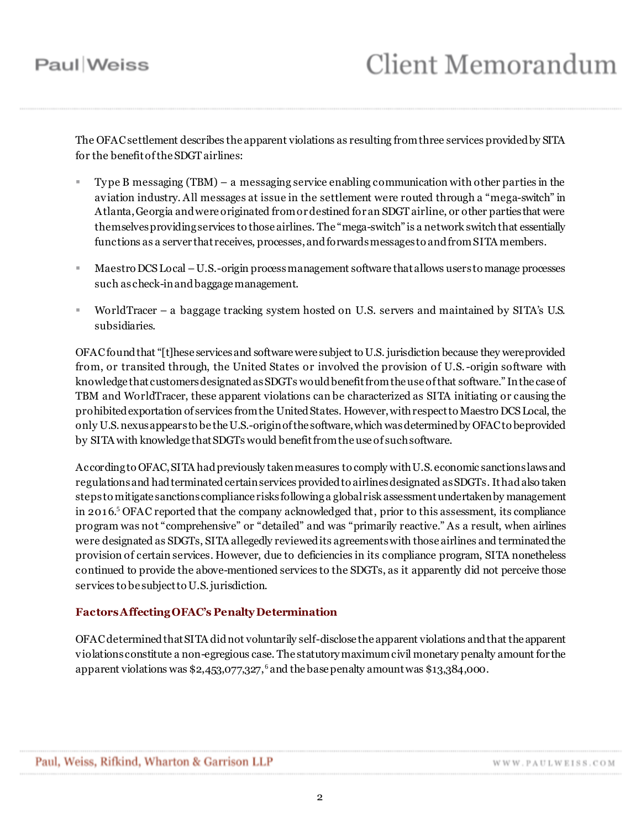The OFAC settlement describes the apparent violations as resulting from three services provided by SITA for the benefit of the SDGT airlines:

- Ty pe B messaging (TBM) a messaging service enabling communication with other parties in the aviation industry. All messages at issue in the settlement were routed through a "mega-switch" in Atlanta, Georgia and were originated from or destined for an SDGT airline, or other parties that were themselves providing services to those airlines. The "mega-switch" is a network switch that essentially functions as a server that receives, processes, and forwards messages to and from SITA members.
- Maestro DCS Local –U.S.-origin process management software thatallows users to manage processes such as check-in and baggage management.
- WorldTracer a baggage tracking system hosted on U.S. servers and maintained by SITA's U.S. subsidiaries.

OFAC found that "[t]hese services and software were subject to U.S. jurisdiction because they were provided from, or transited through, the United States or involved the provision of U.S.-origin software with knowledge that customers designated as SDGTs would benefit from the use of that software." In the case of TBM and WorldTracer, these apparent violations can be characterized as SITA initiating or causing the prohibited exportation of services from the United States. However, with respect to Maestro DCS Local, the only U.S. nexus appears to be the U.S.-origin of the software, which was determined by OFAC to be provided by SITA with knowledge that SDGTs would benefit from the use of such software.

According to OFAC, SITA had previously taken measures to comply with U.S. economic sanctions laws and regulations and had terminated certain services provided to airlines designated as SDGTs. It had also taken steps to mitigate sanctions compliance risks following a global risk assessment undertaken by management in 2016.<sup>5</sup> OFAC reported that the company acknowledged that, prior to this assessment, its compliance program was not "comprehensive" or "detailed" and was "primarily reactive." As a result, when airlines were designated as SDGTs, SITA allegedly reviewed its agreements with those airlines and terminated the provision of certain services. However, due to deficiencies in its compliance program, SITA nonetheless continued to provide the above-mentioned services to the SDGTs, as it apparently did not perceive those services to be subject to U.S. jurisdiction.

#### **Factors Affecting OFAC's Penalty Determination**

OFAC determined that SITA did not voluntarily self-disclose the apparent violations and that the apparent violations constitute a non-egregious case. The statutory maximum civil monetary penalty amount for the apparent violations was  $$2,453,077,327,^6$  and the base penalty amount was  $$13,384,000$ .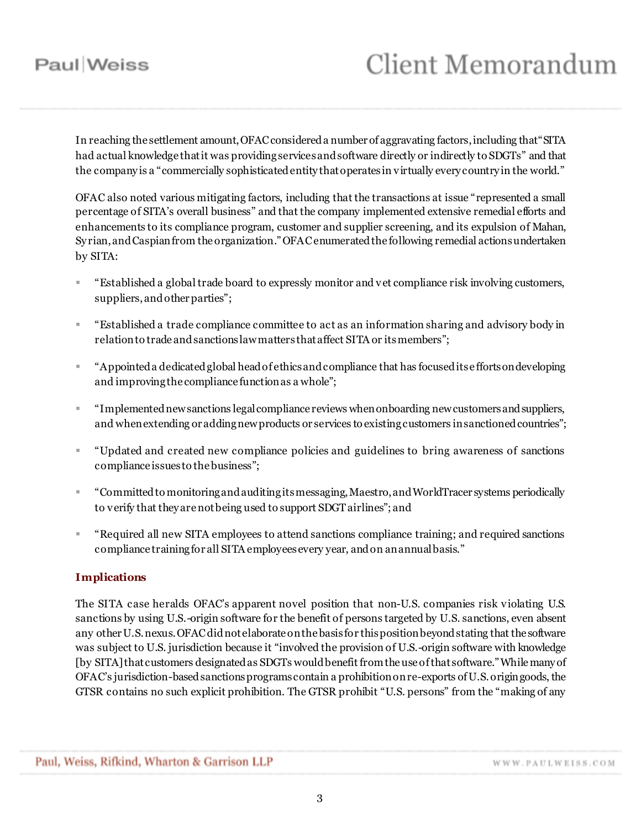# **Client Memorandum**

In reaching the settlement amount, OFAC considered a number of aggravating factors, including that "SITA had actual knowledge that it was providing services and software directly or indirectly to SDGTs" and that the company is a "commercially sophisticated entity that operates in virtually every country in the world."

OFAC also noted various mitigating factors, including that the transactions at issue "represented a small percentage of SITA's overall business" and that the company implemented extensive remedial efforts and enhancements to its compliance program, customer and supplier screening, and its expulsion of Mahan, Sy rian, and Caspian from the organization."OFAC enumerated the following remedial actions undertaken by SITA:

- "Established a global trade board to expressly monitor and vet compliance risk involving customers, suppliers, and other parties";
- "Established a trade compliance committee to act as an information sharing and advisory body in relation to trade and sanctions law matters that affect SITA or its members";
- "Appointed a dedicated global head of ethics and compliance that has focused its e fforts on developing and improving the compliance function as a whole";
- "Implemented new sanctions legal compliance reviews when onboarding new customers and suppliers, and when extending or adding new products or services to existing customers in sanctioned countries";
- "Updated and created new compliance policies and guidelines to bring awareness of sanctions compliance issues to the business";
- "Committed to monitoring and auditing its messaging, Maestro, and WorldTracer systems periodically to verify that they are not being used to support SDGT airlines"; and
- "Required all new SITA employees to attend sanctions compliance training; and required sanctions compliance training for all SITA employees every year, and on an annual basis."

#### **Implications**

The SITA case heralds OFAC's apparent novel position that non-U.S. companies risk violating U.S. sanctions by using U.S.-origin software for the benefit of persons targeted by U.S. sanctions, even absent any other U.S. nexus. OFAC did not elaborate on the basis for this position beyond stating that the software was subject to U.S. jurisdiction because it "involved the provision of U.S.-origin software with knowledge [by SITA] that customers designated as SDGTs would benefit from the use of that software." While many of OFAC's jurisdiction-based sanctions programs contain a prohibition on re-exports of U.S. origin goods, the GTSR contains no such explicit prohibition. The GTSR prohibit "U.S. persons" from the "making of any

WWW.PAULWEISS.COM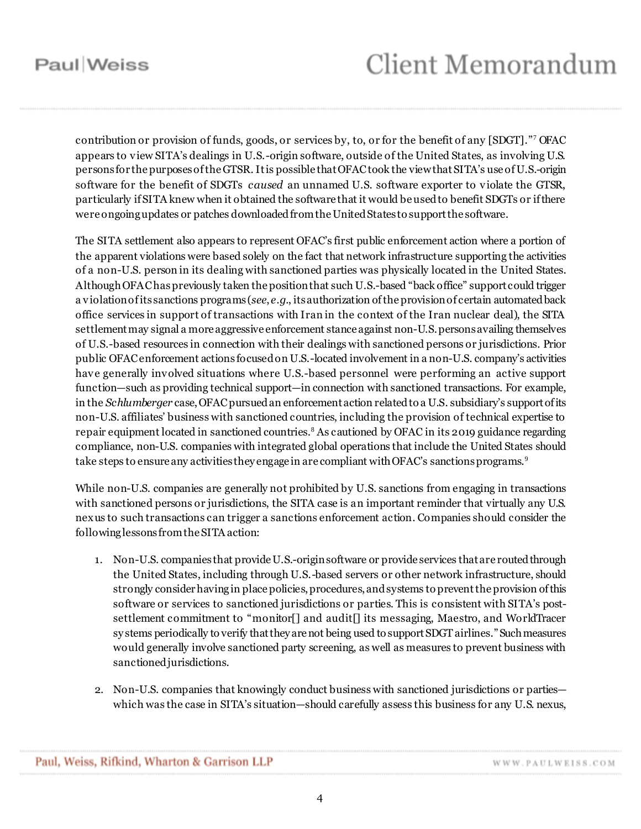## **Client Memorandum**

contribution or provision of funds, goods, or services by, to, or for the benefit of any [SDGT]." <sup>7</sup> OFAC appears to view SITA's dealings in U.S.-origin software, outside of the United States, as involving U.S. persons for the purposes of the GTSR. It is possible that OFAC took the view thatSITA's use of U.S.-origin software for the benefit of SDGTs *caused* an unnamed U.S. software exporter to violate the GTSR, particularly if SITA knew when it obtained the software that it would be used to benefit SDGTs or if there were ongoing updates or patches downloaded from the United States to support the software.

The SITA settlement also appears to represent OFAC's first public enforcement action where a portion of the apparent violations were based solely on the fact that network infrastructure supporting the activities of a non-U.S. person in its dealing with sanctioned parties was physically located in the United States. Although OFAC haspreviously taken the position that such U.S.-based "back office" support could trigger a violation of its sanctions programs (*see*, *e.g.*, its authorization of the provision of certain automated back office services in support of transactions with Iran in the context of the Iran nuclear deal), the SITA settlement may signal a more aggressive enforcement stance against non-U.S. persons availing themselves of U.S.-based resources in connection with their dealings with sanctioned persons or jurisdictions. Prior public OFAC enforcement actions focused on U.S.-located involvement in a non-U.S. company's activities have generally involved situations where U.S.-based personnel were performing an active support function—such as providing technical support—in connection with sanctioned transactions. For example, in the *Schlumberger* case, OFAC pursued an enforcement action related to a U.S. subsidiary's support of its non-U.S. affiliates' business with sanctioned countries, including the provision of technical expertise to repair equipment located in sanctioned countries. <sup>8</sup> As cautioned by OFAC in its 2019 guidance regarding compliance, non-U.S. companies with integrated global operations that include the United States should take steps to ensure any activities they engage in are compliant with OFAC's sanctions programs.<sup>9</sup>

While non-U.S. companies are generally not prohibited by U.S. sanctions from engaging in transactions with sanctioned persons or jurisdictions, the SITA case is an important reminder that virtually any U.S. nexus to such transactions can trigger a sanctions enforcement action. Companies should consider the following lessons from the SITA action:

- 1. Non-U.S. companies that provide U.S.-origin software or provide services that are routed through the United States, including through U.S.-based servers or other network infrastructure, should strongly consider having in place policies, procedures, and systems to preventthe provision of this software or services to sanctioned jurisdictions or parties. This is consistent with SITA's postsettlement commitment to "monitor[] and audit[] its messaging, Maestro, and WorldTracer sy stems periodically to verify that they are not being used to support SDGT airlines."Such measures would generally involve sanctioned party screening, as well as measures to prevent business with sanctioned jurisdictions.
- 2. Non-U.S. companies that knowingly conduct business with sanctioned jurisdictions or parties which was the case in SITA's situation—should carefully assess this business for any U.S. nexus,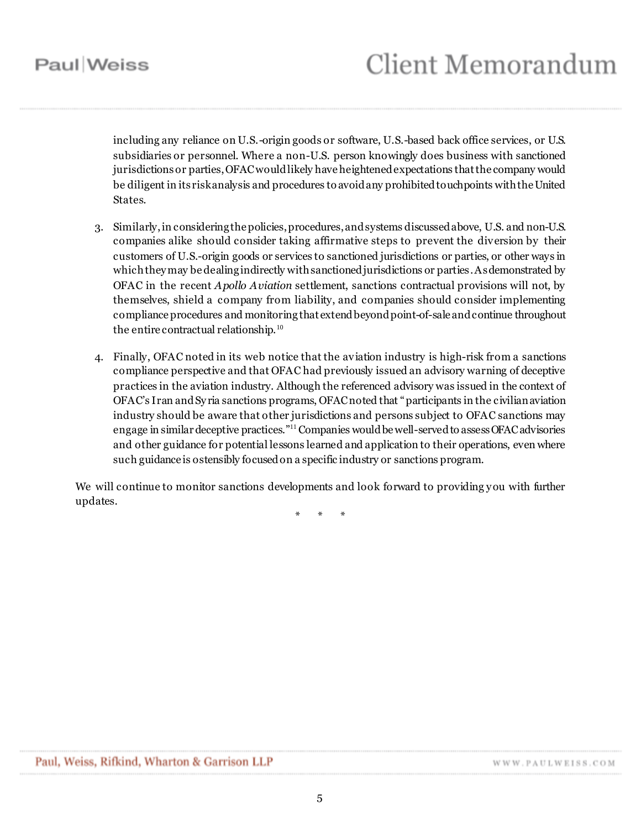including any reliance on U.S.-origin goods or software, U.S.-based back office services, or U.S. subsidiaries or personnel. Where a non-U.S. person knowingly does business with sanctioned jurisdictions or parties, OFAC would likely have heightened expectations that the company would be diligent in its risk analysis and procedures to avoid any prohibited touchpoints with the United States.

- 3. Similarly, in considering the policies, procedures, and systems discussed above, U.S. and non-U.S. companies alike should consider taking affirmative steps to prevent the diversion by their customers of U.S.-origin goods or services to sanctioned jurisdictions or parties, or other ways in which they may be dealing indirectly with sanctioned jurisdictions or parties. As demonstrated by OFAC in the recent *Apollo Aviation* settlement, sanctions contractual provisions will not, by themselves, shield a company from liability, and companies should consider implementing compliance procedures and monitoring that extend beyond point-of-sale and continue throughout the entire contractual relationship.<sup>10</sup>
- 4. Finally, OFAC noted in its web notice that the aviation industry is high-risk from a sanctions compliance perspective and that OFAC had previously issued an advisory warning of deceptive practices in the aviation industry. Although the referenced advisory was issued in the context of OFAC's Iran and Sy ria sanctions programs, OFAC noted that "participants in the civilian aviation industry should be aware that other jurisdictions and persons subject to OFAC sanctions may engage in similar deceptive practices."<sup>11</sup> Companies would be well-served to assess OFAC advisories and other guidance for potential lessons learned and application to their operations, even where such guidance is ostensibly focused on a specific industry or sanctions program.

We will continue to monitor sanctions developments and look forward to providing you with further updates.

\* \* \*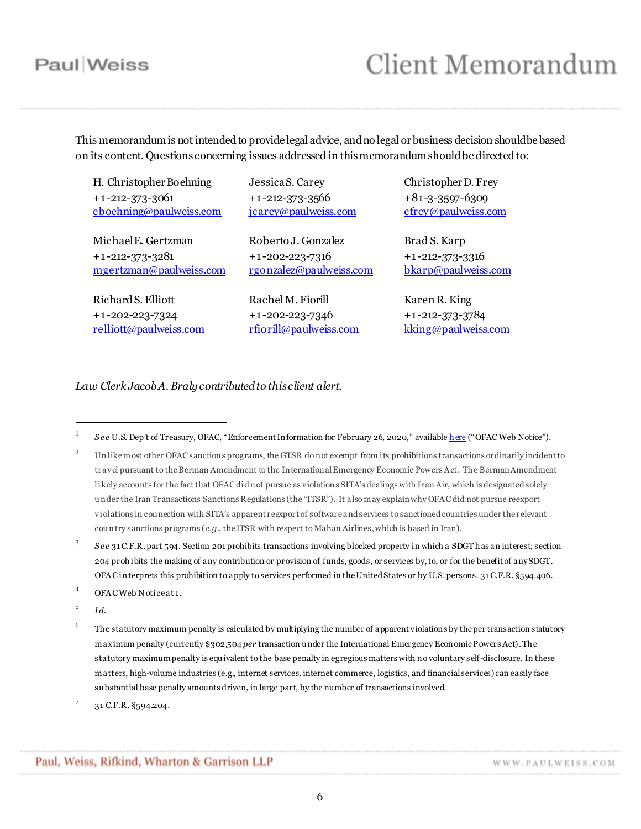## **Client Memorandum**

This memorandum is not intended to provide legal advice, and no legal or business decision should be based on its content. Questions concerning issues addressed in this memorandum should be directed to:

H. Christopher Boehning +1 -212-373-3061 [cboehning@paulweiss.com](mailto:cboehning@paulweiss.com)

Michael E. Gertzman +1 -212-373-3281 [mgertzman@paulweiss.com](mailto:mgertzman@paulweiss.com)

Richard S. Elliott +1 -202-223-7324 [relliott@paulweiss.com](mailto:relliott@paulweiss.com) Jessica S. Carey +1 -212-373-3566 [jcarey@paulweiss.com](mailto:jcarey@paulweiss.com)

Roberto J. Gonzalez +1 -202-223-7316 [rgonzalez@paulweiss.com](mailto:rgonzalez@paulweiss.com)

Rachel M. Fiorill +1 -202-223-7346 [rfiorill@paulweiss.com](mailto:rfiorill@paulweiss.com) Christopher D. Frey +81 -3-3597-6309 [cfrey@paulweiss.com](mailto:cfrey@paulweiss.com)

Brad S. Karp +1 -212-373-3316 [bkarp@paulweiss.com](mailto:bkarp@paulweiss.com)

Karen R. King +1 -212-373-3784 [kking@paulweiss.com](mailto:kking@paulweiss.com)

*Law Clerk Jacob A. Braly contributed to this client alert.*

3 *S e e* 31 C.F.R. part 594. Section 201 prohibits transactions involving blocked property in which a SDGT has an interest; section 204 prohibits the making of any contribution or provision of funds, goods, or services by, to, or for the benefit of any SDGT. OFA C interprets this prohibition to apply to services performed in the United States or by U.S. persons. 31 C.F.R. §594.406.

<sup>4</sup> OFAC Web Notice at 1.

5 *Id.*

 $\overline{a}$ 

- 6 The statutory maximum penalty is calculated by multiplying the number of apparent violations by the per transaction statutory maximum penalty (currently \$302,504 *per* transaction u nder the International Emergency Economic Powers Act). The statutory maximum penalty is equ ivalent to the base penalty in egregious matters with no voluntary self-disclosure. In these matters, high-volume industries (e.g., internet services, internet commerce, logistics, and financial services) can easily face su bstantial base penalty amounts driven, in large part, by the number of transactions involved.
- 7 31 C.F.R. §594.204.

<sup>1</sup> *S e e* U.S. Dep't of Treasury, OFAC, "Enforcement Information for February 26, 2020," available [here](https://www.treasury.gov/resource-center/sanctions/CivPen/Documents/20200226_sita.pdf) ("OFAC Web Notice").

<sup>&</sup>lt;sup>2</sup> Unlike most other OFAC sanctions programs, the GTSR do not exempt from its prohibitions transactions ordinarily incident to travel pursuant to the Berman Amendment to the International Emergency Economic Powers A ct. The Berman Amendment likely accounts for the fact that OFAC did not pursue as violations SITA's dealings with Iran Air, which is designated solely u nder the Iran Transactions Sanctions Regulations (the "ITSR"). It also may explain why OFA C did not pursue reexport violations in connection with SITA's apparent reexport of software and services to sanctioned countries under the relevant cou ntry sanctions programs (*e.g.*, the ITSR with respect to Mahan Airlines, which is based in Iran).